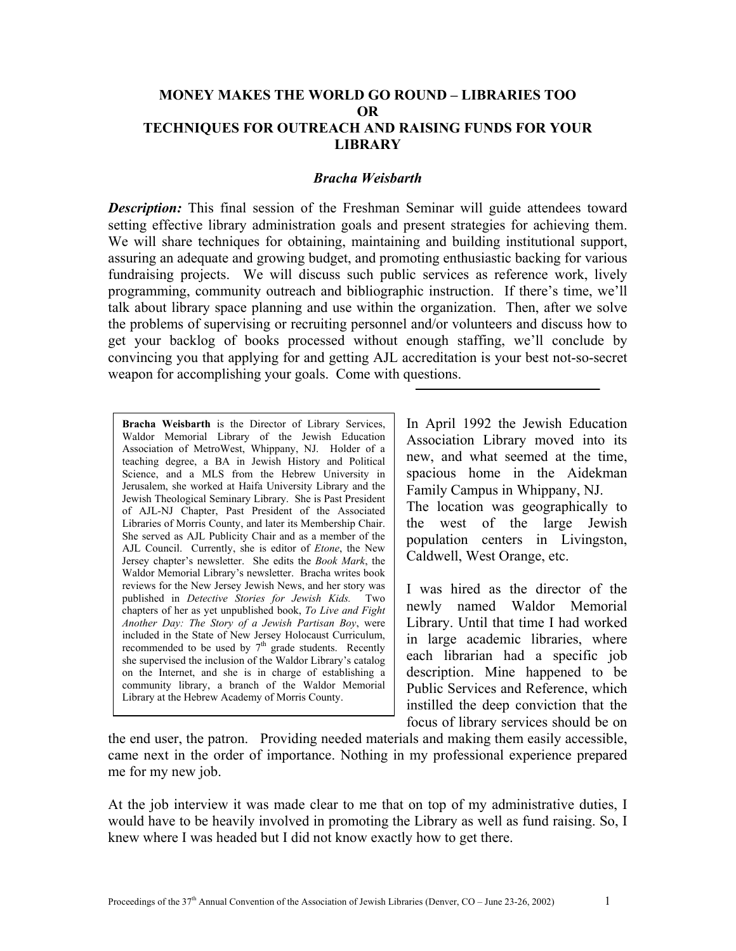## **MONEY MAKES THE WORLD GO ROUND – LIBRARIES TOO OR TECHNIQUES FOR OUTREACH AND RAISING FUNDS FOR YOUR LIBRARY**

## *Bracha Weisbarth*

*Description:* This final session of the Freshman Seminar will guide attendees toward setting effective library administration goals and present strategies for achieving them. We will share techniques for obtaining, maintaining and building institutional support, assuring an adequate and growing budget, and promoting enthusiastic backing for various fundraising projects. We will discuss such public services as reference work, lively programming, community outreach and bibliographic instruction. If there's time, we'll talk about library space planning and use within the organization. Then, after we solve the problems of supervising or recruiting personnel and/or volunteers and discuss how to get your backlog of books processed without enough staffing, we'll conclude by convincing you that applying for and getting AJL accreditation is your best not-so-secret weapon for accomplishing your goals. Come with questions.

**Bracha Weisbarth** is the Director of Library Services, Waldor Memorial Library of the Jewish Education Association of MetroWest, Whippany, NJ. Holder of a teaching degree, a BA in Jewish History and Political Science, and a MLS from the Hebrew University in Jerusalem, she worked at Haifa University Library and the Jewish Theological Seminary Library. She is Past President of AJL-NJ Chapter, Past President of the Associated Libraries of Morris County, and later its Membership Chair. She served as AJL Publicity Chair and as a member of the AJL Council. Currently, she is editor of *Etone*, the New Jersey chapter's newsletter. She edits the *Book Mark*, the Waldor Memorial Library's newsletter. Bracha writes book reviews for the New Jersey Jewish News, and her story was published in *Detective Stories for Jewish Kids.* Two chapters of her as yet unpublished book, *To Live and Fight Another Day: The Story of a Jewish Partisan Boy*, were included in the State of New Jersey Holocaust Curriculum, recommended to be used by  $7<sup>th</sup>$  grade students. Recently she supervised the inclusion of the Waldor Library's catalog on the Internet, and she is in charge of establishing a community library, a branch of the Waldor Memorial Library at the Hebrew Academy of Morris County.

In April 1992 the Jewish Education Association Library moved into its new, and what seemed at the time, spacious home in the Aidekman Family Campus in Whippany, NJ. The location was geographically to

the west of the large Jewish population centers in Livingston, Caldwell, West Orange, etc.

I was hired as the director of the newly named Waldor Memorial Library. Until that time I had worked in large academic libraries, where each librarian had a specific job description. Mine happened to be Public Services and Reference, which instilled the deep conviction that the focus of library services should be on

the end user, the patron. Providing needed materials and making them easily accessible, came next in the order of importance. Nothing in my professional experience prepared me for my new job.

At the job interview it was made clear to me that on top of my administrative duties, I would have to be heavily involved in promoting the Library as well as fund raising. So, I knew where I was headed but I did not know exactly how to get there.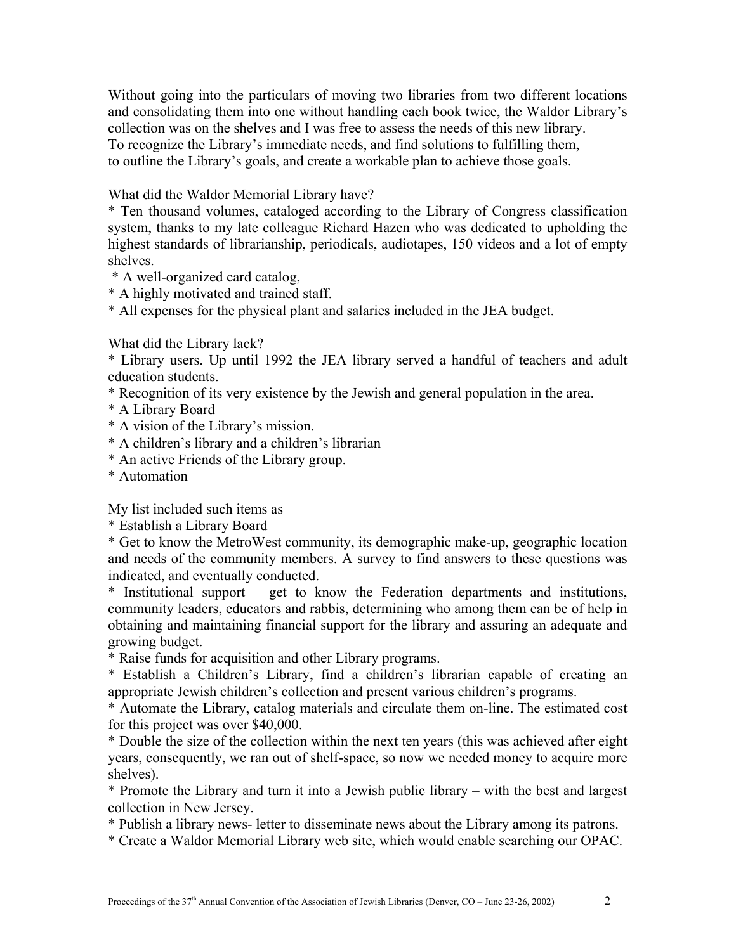Without going into the particulars of moving two libraries from two different locations and consolidating them into one without handling each book twice, the Waldor Library's collection was on the shelves and I was free to assess the needs of this new library. To recognize the Library's immediate needs, and find solutions to fulfilling them, to outline the Library's goals, and create a workable plan to achieve those goals.

What did the Waldor Memorial Library have?

\* Ten thousand volumes, cataloged according to the Library of Congress classification system, thanks to my late colleague Richard Hazen who was dedicated to upholding the highest standards of librarianship, periodicals, audiotapes, 150 videos and a lot of empty shelves.

- \* A well-organized card catalog,
- \* A highly motivated and trained staff.
- \* All expenses for the physical plant and salaries included in the JEA budget.

What did the Library lack?

\* Library users. Up until 1992 the JEA library served a handful of teachers and adult education students.

- \* Recognition of its very existence by the Jewish and general population in the area.
- \* A Library Board
- \* A vision of the Library's mission.
- \* A children's library and a children's librarian
- \* An active Friends of the Library group.
- \* Automation

My list included such items as

\* Establish a Library Board

\* Get to know the MetroWest community, its demographic make-up, geographic location and needs of the community members. A survey to find answers to these questions was indicated, and eventually conducted.

\* Institutional support – get to know the Federation departments and institutions, community leaders, educators and rabbis, determining who among them can be of help in obtaining and maintaining financial support for the library and assuring an adequate and growing budget.

\* Raise funds for acquisition and other Library programs.

\* Establish a Children's Library, find a children's librarian capable of creating an appropriate Jewish children's collection and present various children's programs.

\* Automate the Library, catalog materials and circulate them on-line. The estimated cost for this project was over \$40,000.

\* Double the size of the collection within the next ten years (this was achieved after eight years, consequently, we ran out of shelf-space, so now we needed money to acquire more shelves).

\* Promote the Library and turn it into a Jewish public library – with the best and largest collection in New Jersey.

\* Publish a library news- letter to disseminate news about the Library among its patrons.

\* Create a Waldor Memorial Library web site, which would enable searching our OPAC.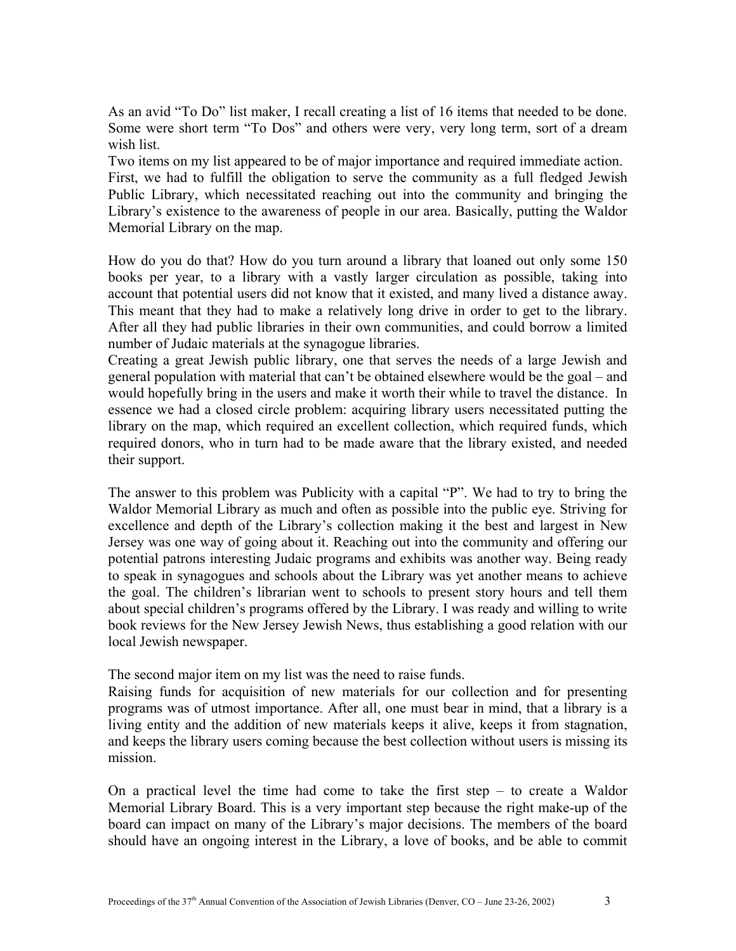As an avid "To Do" list maker, I recall creating a list of 16 items that needed to be done. Some were short term "To Dos" and others were very, very long term, sort of a dream wish list.

Two items on my list appeared to be of major importance and required immediate action. First, we had to fulfill the obligation to serve the community as a full fledged Jewish Public Library, which necessitated reaching out into the community and bringing the Library's existence to the awareness of people in our area. Basically, putting the Waldor Memorial Library on the map.

How do you do that? How do you turn around a library that loaned out only some 150 books per year, to a library with a vastly larger circulation as possible, taking into account that potential users did not know that it existed, and many lived a distance away. This meant that they had to make a relatively long drive in order to get to the library. After all they had public libraries in their own communities, and could borrow a limited number of Judaic materials at the synagogue libraries.

Creating a great Jewish public library, one that serves the needs of a large Jewish and general population with material that can't be obtained elsewhere would be the goal – and would hopefully bring in the users and make it worth their while to travel the distance. In essence we had a closed circle problem: acquiring library users necessitated putting the library on the map, which required an excellent collection, which required funds, which required donors, who in turn had to be made aware that the library existed, and needed their support.

The answer to this problem was Publicity with a capital "P". We had to try to bring the Waldor Memorial Library as much and often as possible into the public eye. Striving for excellence and depth of the Library's collection making it the best and largest in New Jersey was one way of going about it. Reaching out into the community and offering our potential patrons interesting Judaic programs and exhibits was another way. Being ready to speak in synagogues and schools about the Library was yet another means to achieve the goal. The children's librarian went to schools to present story hours and tell them about special children's programs offered by the Library. I was ready and willing to write book reviews for the New Jersey Jewish News, thus establishing a good relation with our local Jewish newspaper.

The second major item on my list was the need to raise funds.

Raising funds for acquisition of new materials for our collection and for presenting programs was of utmost importance. After all, one must bear in mind, that a library is a living entity and the addition of new materials keeps it alive, keeps it from stagnation, and keeps the library users coming because the best collection without users is missing its mission.

On a practical level the time had come to take the first step – to create a Waldor Memorial Library Board. This is a very important step because the right make-up of the board can impact on many of the Library's major decisions. The members of the board should have an ongoing interest in the Library, a love of books, and be able to commit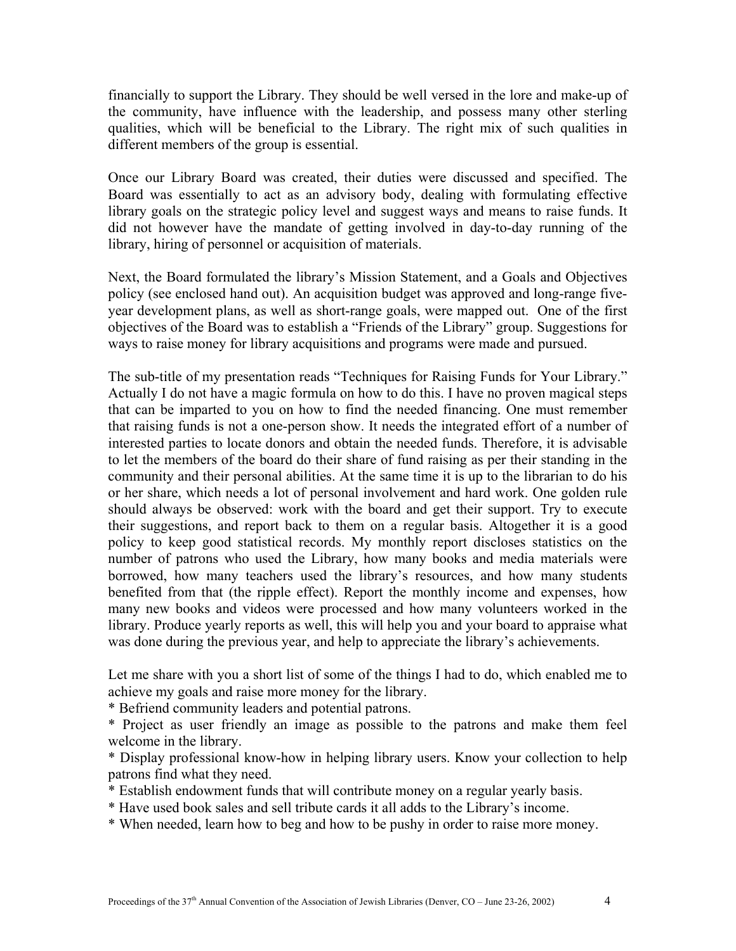financially to support the Library. They should be well versed in the lore and make-up of the community, have influence with the leadership, and possess many other sterling qualities, which will be beneficial to the Library. The right mix of such qualities in different members of the group is essential.

Once our Library Board was created, their duties were discussed and specified. The Board was essentially to act as an advisory body, dealing with formulating effective library goals on the strategic policy level and suggest ways and means to raise funds. It did not however have the mandate of getting involved in day-to-day running of the library, hiring of personnel or acquisition of materials.

Next, the Board formulated the library's Mission Statement, and a Goals and Objectives policy (see enclosed hand out). An acquisition budget was approved and long-range fiveyear development plans, as well as short-range goals, were mapped out. One of the first objectives of the Board was to establish a "Friends of the Library" group. Suggestions for ways to raise money for library acquisitions and programs were made and pursued.

The sub-title of my presentation reads "Techniques for Raising Funds for Your Library." Actually I do not have a magic formula on how to do this. I have no proven magical steps that can be imparted to you on how to find the needed financing. One must remember that raising funds is not a one-person show. It needs the integrated effort of a number of interested parties to locate donors and obtain the needed funds. Therefore, it is advisable to let the members of the board do their share of fund raising as per their standing in the community and their personal abilities. At the same time it is up to the librarian to do his or her share, which needs a lot of personal involvement and hard work. One golden rule should always be observed: work with the board and get their support. Try to execute their suggestions, and report back to them on a regular basis. Altogether it is a good policy to keep good statistical records. My monthly report discloses statistics on the number of patrons who used the Library, how many books and media materials were borrowed, how many teachers used the library's resources, and how many students benefited from that (the ripple effect). Report the monthly income and expenses, how many new books and videos were processed and how many volunteers worked in the library. Produce yearly reports as well, this will help you and your board to appraise what was done during the previous year, and help to appreciate the library's achievements.

Let me share with you a short list of some of the things I had to do, which enabled me to achieve my goals and raise more money for the library.

\* Befriend community leaders and potential patrons.

\* Project as user friendly an image as possible to the patrons and make them feel welcome in the library.

\* Display professional know-how in helping library users. Know your collection to help patrons find what they need.

- \* Establish endowment funds that will contribute money on a regular yearly basis.
- \* Have used book sales and sell tribute cards it all adds to the Library's income.
- \* When needed, learn how to beg and how to be pushy in order to raise more money.